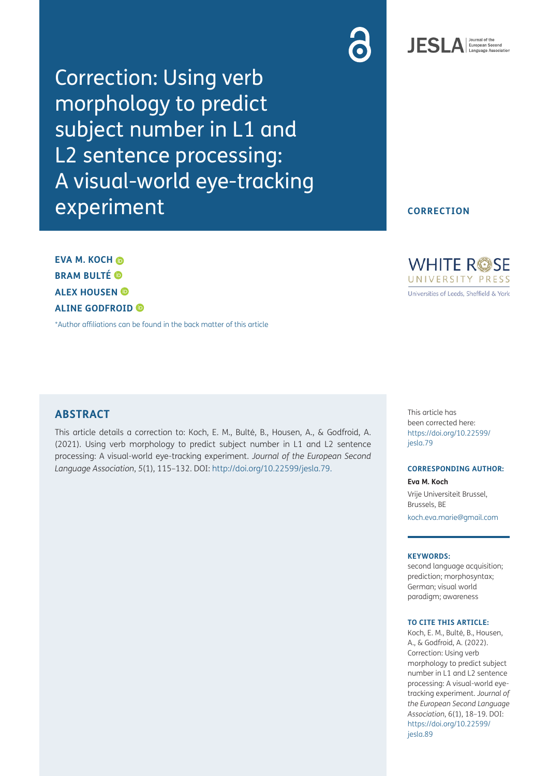Correction: Using verb morphology to predict subject number in L1 and L2 sentence processing: A visual-world eye-tracking experiment





### **CORRECTION**

**EVA M. KOCH BRAM BULTÉ ALEX HOUSEN ALINE GODFROID** 

[\\*Author affiliations can be found in the back matter of this article](#page-1-0)

### **ABSTRACT**

This article details a correction to: Koch, E. M., Bulté, B., Housen, A., & Godfroid, A. (2021). Using verb morphology to predict subject number in L1 and L2 sentence processing: A visual-world eye-tracking experiment. *Journal of the European Second Language Association*, *5*(1), 115–132. DOI: <http://doi.org/10.22599/jesla.79>.

**WHITE ROSE** UNIVERSITY PRESS Universities of Leeds, Sheffield & York

This article has been corrected here: [https://doi.org/10.22599/](https://doi.org/10.22599/jesla.79) [jesla.79](https://doi.org/10.22599/jesla.79)

### **CORRESPONDING AUTHOR:**

**Eva M. Koch** Vrije Universiteit Brussel, Brussels, BE [koch.eva.marie@gmail.com](mailto:koch.eva.marie@gmail.com)

### **KEYWORDS:**

second language acquisition; prediction; morphosyntax; German; visual world paradigm; awareness

#### **TO CITE THIS ARTICLE:**

Koch, E. M., Bulté, B., Housen, A., & Godfroid, A. (2022). Correction: Using verb morphology to predict subject number in L1 and L2 sentence processing: A visual-world eyetracking experiment. *Journal of the European Second Language Association*, 6(1), 18–19. DOI: [https://doi.org/10.22599/](https://doi.org/10.22599/jesla.89) [jesla.89](https://doi.org/10.22599/jesla.89)